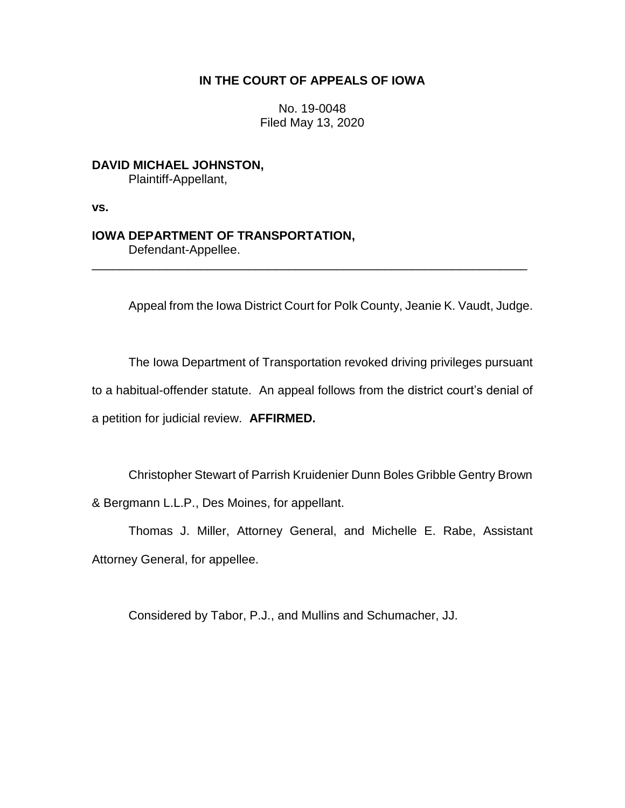## **IN THE COURT OF APPEALS OF IOWA**

No. 19-0048 Filed May 13, 2020

**DAVID MICHAEL JOHNSTON,** Plaintiff-Appellant,

**vs.**

# **IOWA DEPARTMENT OF TRANSPORTATION,**

Defendant-Appellee.

Appeal from the Iowa District Court for Polk County, Jeanie K. Vaudt, Judge.

\_\_\_\_\_\_\_\_\_\_\_\_\_\_\_\_\_\_\_\_\_\_\_\_\_\_\_\_\_\_\_\_\_\_\_\_\_\_\_\_\_\_\_\_\_\_\_\_\_\_\_\_\_\_\_\_\_\_\_\_\_\_\_\_

The Iowa Department of Transportation revoked driving privileges pursuant to a habitual-offender statute. An appeal follows from the district court's denial of

a petition for judicial review. **AFFIRMED.**

Christopher Stewart of Parrish Kruidenier Dunn Boles Gribble Gentry Brown

& Bergmann L.L.P., Des Moines, for appellant.

Thomas J. Miller, Attorney General, and Michelle E. Rabe, Assistant Attorney General, for appellee.

Considered by Tabor, P.J., and Mullins and Schumacher, JJ.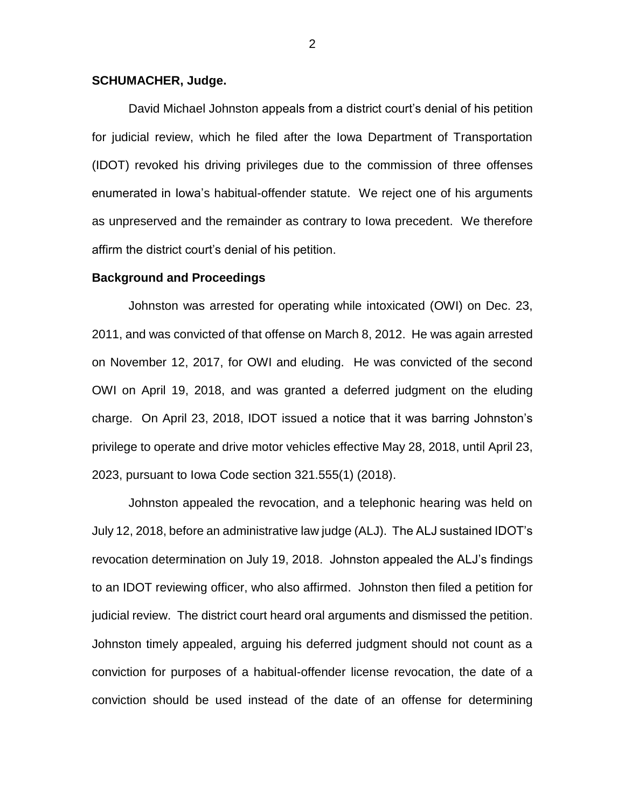### **SCHUMACHER, Judge.**

David Michael Johnston appeals from a district court's denial of his petition for judicial review, which he filed after the Iowa Department of Transportation (IDOT) revoked his driving privileges due to the commission of three offenses enumerated in Iowa's habitual-offender statute. We reject one of his arguments as unpreserved and the remainder as contrary to Iowa precedent. We therefore affirm the district court's denial of his petition.

#### **Background and Proceedings**

Johnston was arrested for operating while intoxicated (OWI) on Dec. 23, 2011, and was convicted of that offense on March 8, 2012. He was again arrested on November 12, 2017, for OWI and eluding. He was convicted of the second OWI on April 19, 2018, and was granted a deferred judgment on the eluding charge. On April 23, 2018, IDOT issued a notice that it was barring Johnston's privilege to operate and drive motor vehicles effective May 28, 2018, until April 23, 2023, pursuant to Iowa Code section 321.555(1) (2018).

Johnston appealed the revocation, and a telephonic hearing was held on July 12, 2018, before an administrative law judge (ALJ). The ALJ sustained IDOT's revocation determination on July 19, 2018. Johnston appealed the ALJ's findings to an IDOT reviewing officer, who also affirmed. Johnston then filed a petition for judicial review. The district court heard oral arguments and dismissed the petition. Johnston timely appealed, arguing his deferred judgment should not count as a conviction for purposes of a habitual-offender license revocation, the date of a conviction should be used instead of the date of an offense for determining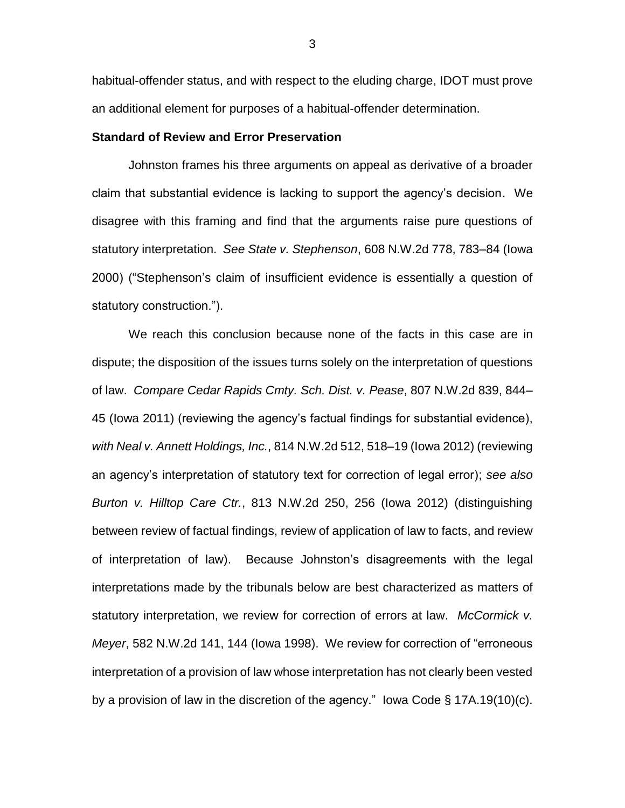habitual-offender status, and with respect to the eluding charge, IDOT must prove an additional element for purposes of a habitual-offender determination.

## **Standard of Review and Error Preservation**

Johnston frames his three arguments on appeal as derivative of a broader claim that substantial evidence is lacking to support the agency's decision. We disagree with this framing and find that the arguments raise pure questions of statutory interpretation. *See State v. Stephenson*, 608 N.W.2d 778, 783–84 (Iowa 2000) ("Stephenson's claim of insufficient evidence is essentially a question of statutory construction.").

We reach this conclusion because none of the facts in this case are in dispute; the disposition of the issues turns solely on the interpretation of questions of law. *Compare Cedar Rapids Cmty. Sch. Dist. v. Pease*, 807 N.W.2d 839, 844– 45 (Iowa 2011) (reviewing the agency's factual findings for substantial evidence), *with Neal v. Annett Holdings, Inc.*, 814 N.W.2d 512, 518–19 (Iowa 2012) (reviewing an agency's interpretation of statutory text for correction of legal error); *see also Burton v. Hilltop Care Ctr.*, 813 N.W.2d 250, 256 (Iowa 2012) (distinguishing between review of factual findings, review of application of law to facts, and review of interpretation of law). Because Johnston's disagreements with the legal interpretations made by the tribunals below are best characterized as matters of statutory interpretation, we review for correction of errors at law. *McCormick v. Meyer*, 582 N.W.2d 141, 144 (Iowa 1998). We review for correction of "erroneous interpretation of a provision of law whose interpretation has not clearly been vested by a provision of law in the discretion of the agency." Iowa Code § 17A.19(10)(c).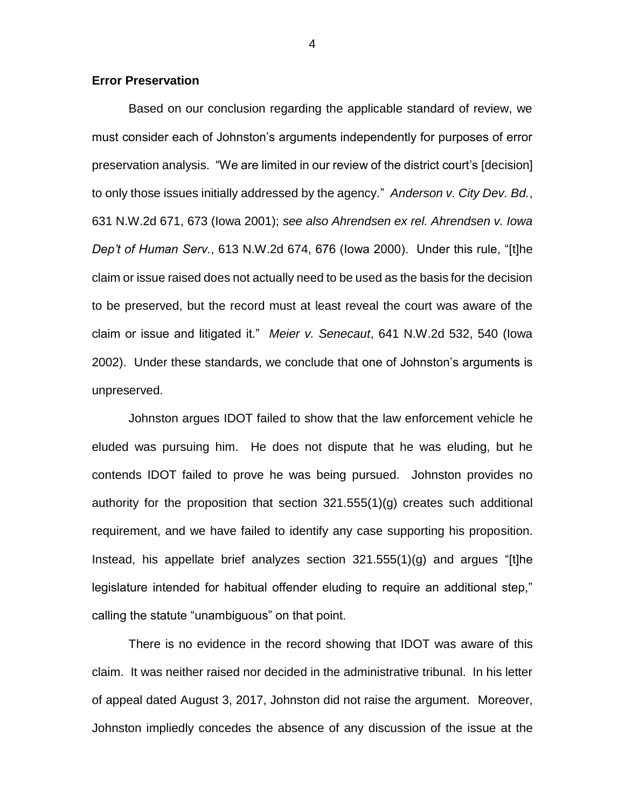#### **Error Preservation**

Based on our conclusion regarding the applicable standard of review, we must consider each of Johnston's arguments independently for purposes of error preservation analysis. "We are limited in our review of the district court's [decision] to only those issues initially addressed by the agency." *Anderson v. City Dev. Bd.*, 631 N.W.2d 671, 673 (Iowa 2001); *see also Ahrendsen ex rel. Ahrendsen v. Iowa Dep't of Human Serv.*, 613 N.W.2d 674, 676 (Iowa 2000). Under this rule, "[t]he claim or issue raised does not actually need to be used as the basis for the decision to be preserved, but the record must at least reveal the court was aware of the claim or issue and litigated it." *Meier v. Senecaut*, 641 N.W.2d 532, 540 (Iowa 2002). Under these standards, we conclude that one of Johnston's arguments is unpreserved.

Johnston argues IDOT failed to show that the law enforcement vehicle he eluded was pursuing him. He does not dispute that he was eluding, but he contends IDOT failed to prove he was being pursued. Johnston provides no authority for the proposition that section 321.555(1)(g) creates such additional requirement, and we have failed to identify any case supporting his proposition. Instead, his appellate brief analyzes section 321.555(1)(g) and argues "[t]he legislature intended for habitual offender eluding to require an additional step," calling the statute "unambiguous" on that point.

There is no evidence in the record showing that IDOT was aware of this claim. It was neither raised nor decided in the administrative tribunal. In his letter of appeal dated August 3, 2017, Johnston did not raise the argument. Moreover, Johnston impliedly concedes the absence of any discussion of the issue at the

4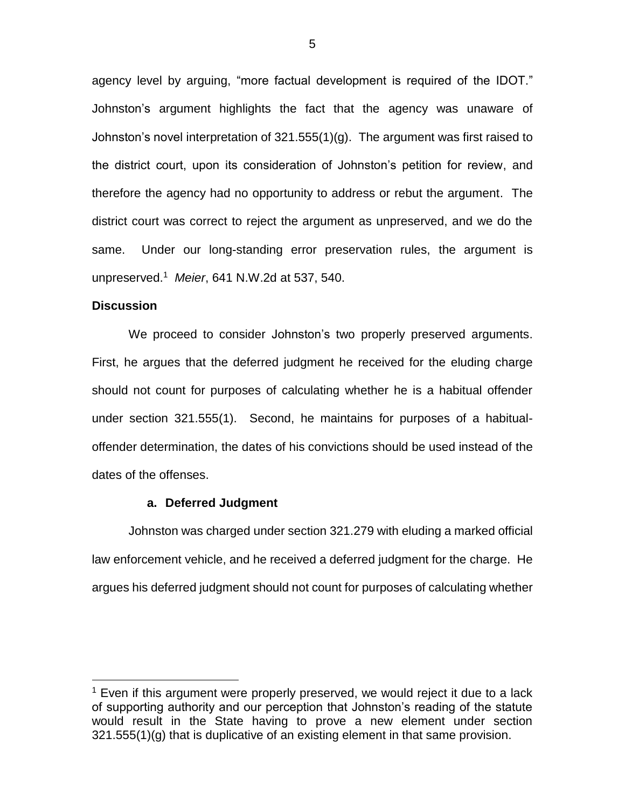agency level by arguing, "more factual development is required of the IDOT." Johnston's argument highlights the fact that the agency was unaware of Johnston's novel interpretation of 321.555(1)(g). The argument was first raised to the district court, upon its consideration of Johnston's petition for review, and therefore the agency had no opportunity to address or rebut the argument. The district court was correct to reject the argument as unpreserved, and we do the same. Under our long-standing error preservation rules, the argument is unpreserved.<sup>1</sup> *Meier*, 641 N.W.2d at 537, 540.

## **Discussion**

 $\overline{a}$ 

We proceed to consider Johnston's two properly preserved arguments. First, he argues that the deferred judgment he received for the eluding charge should not count for purposes of calculating whether he is a habitual offender under section 321.555(1). Second, he maintains for purposes of a habitualoffender determination, the dates of his convictions should be used instead of the dates of the offenses.

#### **a. Deferred Judgment**

Johnston was charged under section 321.279 with eluding a marked official law enforcement vehicle, and he received a deferred judgment for the charge. He argues his deferred judgment should not count for purposes of calculating whether

 $1$  Even if this argument were properly preserved, we would reject it due to a lack of supporting authority and our perception that Johnston's reading of the statute would result in the State having to prove a new element under section 321.555(1)(g) that is duplicative of an existing element in that same provision.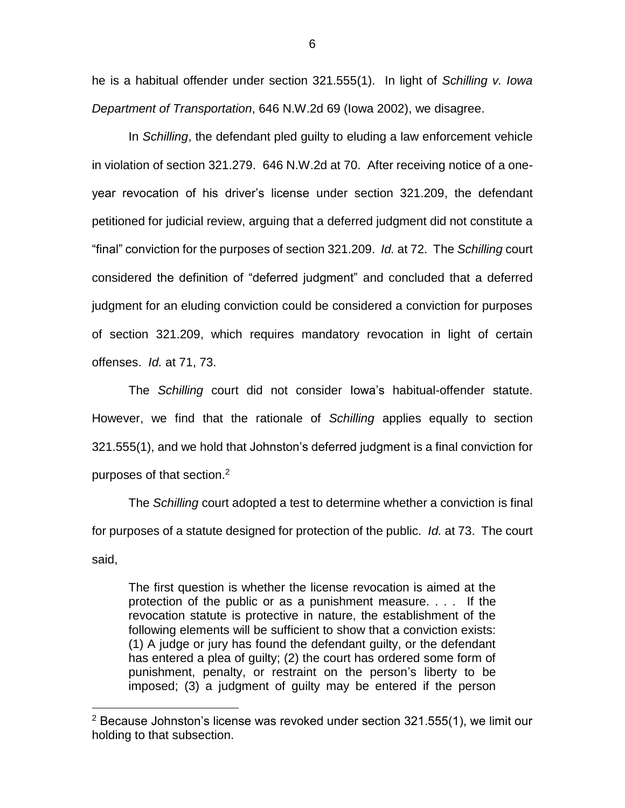he is a habitual offender under section 321.555(1). In light of *Schilling v. Iowa Department of Transportation*, 646 N.W.2d 69 (Iowa 2002), we disagree.

In *Schilling*, the defendant pled guilty to eluding a law enforcement vehicle in violation of section 321.279. 646 N.W.2d at 70. After receiving notice of a oneyear revocation of his driver's license under section 321.209, the defendant petitioned for judicial review, arguing that a deferred judgment did not constitute a "final" conviction for the purposes of section 321.209. *Id.* at 72. The *Schilling* court considered the definition of "deferred judgment" and concluded that a deferred judgment for an eluding conviction could be considered a conviction for purposes of section 321.209, which requires mandatory revocation in light of certain offenses. *Id.* at 71, 73.

The *Schilling* court did not consider Iowa's habitual-offender statute. However, we find that the rationale of *Schilling* applies equally to section 321.555(1), and we hold that Johnston's deferred judgment is a final conviction for purposes of that section.<sup>2</sup>

The *Schilling* court adopted a test to determine whether a conviction is final for purposes of a statute designed for protection of the public. *Id.* at 73. The court said,

The first question is whether the license revocation is aimed at the protection of the public or as a punishment measure. . . . If the revocation statute is protective in nature, the establishment of the following elements will be sufficient to show that a conviction exists: (1) A judge or jury has found the defendant guilty, or the defendant has entered a plea of guilty; (2) the court has ordered some form of punishment, penalty, or restraint on the person's liberty to be imposed; (3) a judgment of guilty may be entered if the person

 $\overline{a}$ 

 $2$  Because Johnston's license was revoked under section 321.555(1), we limit our holding to that subsection.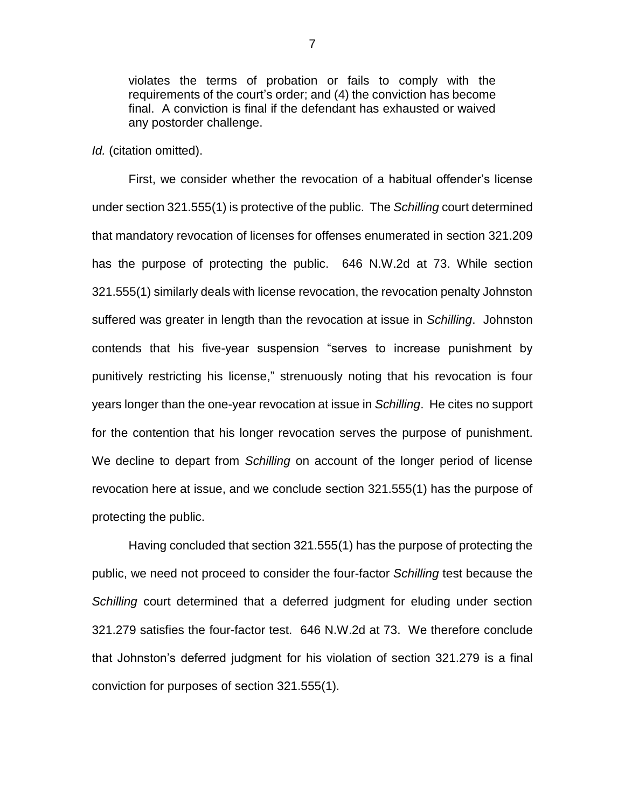violates the terms of probation or fails to comply with the requirements of the court's order; and (4) the conviction has become final. A conviction is final if the defendant has exhausted or waived any postorder challenge.

*Id.* (citation omitted).

First, we consider whether the revocation of a habitual offender's license under section 321.555(1) is protective of the public. The *Schilling* court determined that mandatory revocation of licenses for offenses enumerated in section 321.209 has the purpose of protecting the public. 646 N.W.2d at 73. While section 321.555(1) similarly deals with license revocation, the revocation penalty Johnston suffered was greater in length than the revocation at issue in *Schilling*. Johnston contends that his five-year suspension "serves to increase punishment by punitively restricting his license," strenuously noting that his revocation is four years longer than the one-year revocation at issue in *Schilling*. He cites no support for the contention that his longer revocation serves the purpose of punishment. We decline to depart from *Schilling* on account of the longer period of license revocation here at issue, and we conclude section 321.555(1) has the purpose of protecting the public.

Having concluded that section 321.555(1) has the purpose of protecting the public, we need not proceed to consider the four-factor *Schilling* test because the *Schilling* court determined that a deferred judgment for eluding under section 321.279 satisfies the four-factor test. 646 N.W.2d at 73.We therefore conclude that Johnston's deferred judgment for his violation of section 321.279 is a final conviction for purposes of section 321.555(1).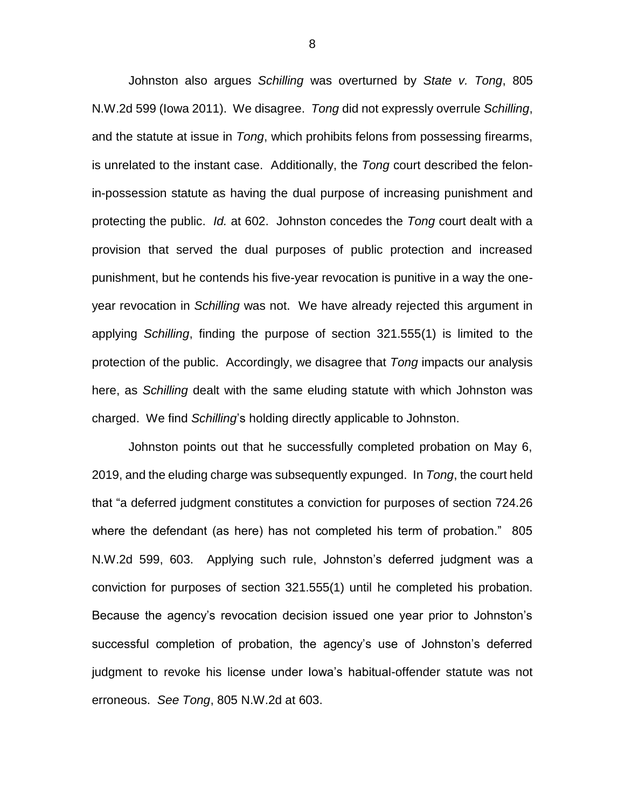Johnston also argues *Schilling* was overturned by *State v. Tong*, 805 N.W.2d 599 (Iowa 2011). We disagree. *Tong* did not expressly overrule *Schilling*, and the statute at issue in *Tong*, which prohibits felons from possessing firearms, is unrelated to the instant case. Additionally, the *Tong* court described the felonin-possession statute as having the dual purpose of increasing punishment and protecting the public. *Id.* at 602. Johnston concedes the *Tong* court dealt with a provision that served the dual purposes of public protection and increased punishment, but he contends his five-year revocation is punitive in a way the oneyear revocation in *Schilling* was not. We have already rejected this argument in applying *Schilling*, finding the purpose of section 321.555(1) is limited to the protection of the public. Accordingly, we disagree that *Tong* impacts our analysis here, as *Schilling* dealt with the same eluding statute with which Johnston was charged. We find *Schilling*'s holding directly applicable to Johnston.

Johnston points out that he successfully completed probation on May 6, 2019, and the eluding charge was subsequently expunged. In *Tong*, the court held that "a deferred judgment constitutes a conviction for purposes of section 724.26 where the defendant (as here) has not completed his term of probation." 805 N.W.2d 599, 603. Applying such rule, Johnston's deferred judgment was a conviction for purposes of section 321.555(1) until he completed his probation. Because the agency's revocation decision issued one year prior to Johnston's successful completion of probation, the agency's use of Johnston's deferred judgment to revoke his license under Iowa's habitual-offender statute was not erroneous. *See Tong*, 805 N.W.2d at 603.

8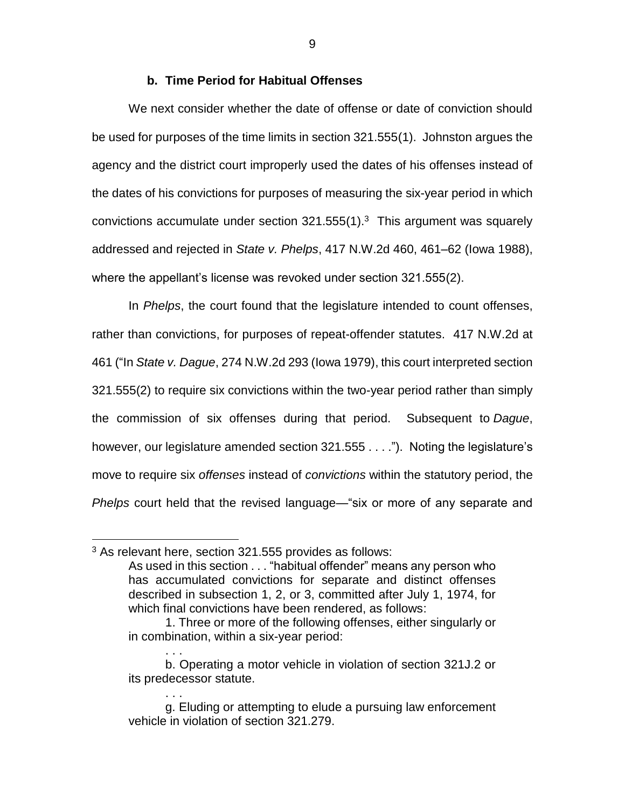## **b. Time Period for Habitual Offenses**

We next consider whether the date of offense or date of conviction should be used for purposes of the time limits in section 321.555(1). Johnston argues the agency and the district court improperly used the dates of his offenses instead of the dates of his convictions for purposes of measuring the six-year period in which convictions accumulate under section  $321.555(1).$ <sup>3</sup> This argument was squarely addressed and rejected in *State v. Phelps*, 417 N.W.2d 460, 461–62 (Iowa 1988), where the appellant's license was revoked under section 321.555(2).

In *Phelps*, the court found that the legislature intended to count offenses, rather than convictions, for purposes of repeat-offender statutes. 417 N.W.2d at 461 ("In *State v. Dague*, 274 N.W.2d 293 (Iowa 1979), this court interpreted section 321.555(2) to require six convictions within the two-year period rather than simply the commission of six offenses during that period. Subsequent to *Dague*, however, our legislature amended section 321.555 . . . ."). Noting the legislature's move to require six *offenses* instead of *convictions* within the statutory period, the *Phelps* court held that the revised language—"six or more of any separate and

. . .

. . .

 $\overline{a}$ 

 $3$  As relevant here, section 321.555 provides as follows:

As used in this section . . . "habitual offender" means any person who has accumulated convictions for separate and distinct offenses described in subsection 1, 2, or 3, committed after July 1, 1974, for which final convictions have been rendered, as follows:

<sup>1.</sup> Three or more of the following offenses, either singularly or in combination, within a six-year period:

b. Operating a motor vehicle in violation of section 321J.2 or its predecessor statute.

g. Eluding or attempting to elude a pursuing law enforcement vehicle in violation of section 321.279.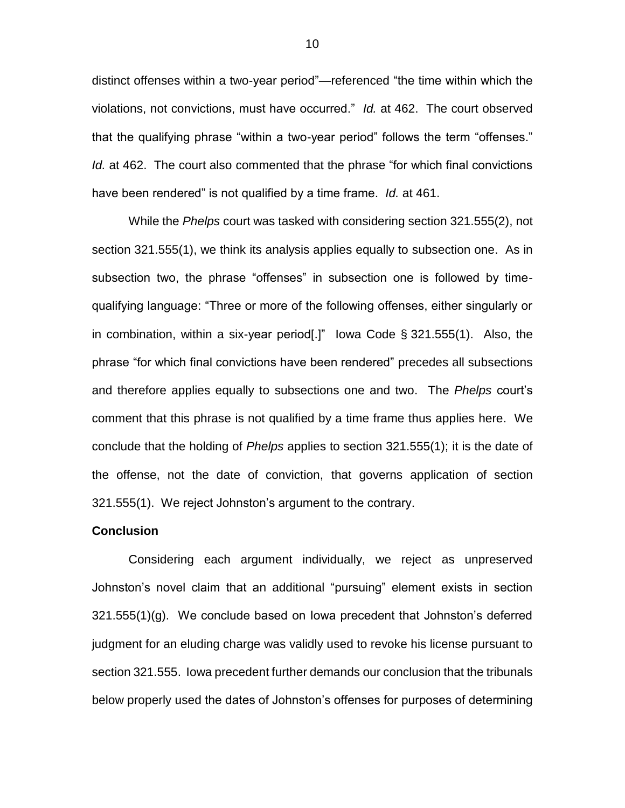distinct offenses within a two-year period"—referenced "the time within which the violations, not convictions, must have occurred." *Id.* at 462. The court observed that the qualifying phrase "within a two-year period" follows the term "offenses." *Id.* at 462. The court also commented that the phrase "for which final convictions have been rendered" is not qualified by a time frame. *Id.* at 461.

While the *Phelps* court was tasked with considering section 321.555(2), not section 321.555(1), we think its analysis applies equally to subsection one. As in subsection two, the phrase "offenses" in subsection one is followed by timequalifying language: "Three or more of the following offenses, either singularly or in combination, within a six-year period[.]" Iowa Code § 321.555(1). Also, the phrase "for which final convictions have been rendered" precedes all subsections and therefore applies equally to subsections one and two. The *Phelps* court's comment that this phrase is not qualified by a time frame thus applies here. We conclude that the holding of *Phelps* applies to section 321.555(1); it is the date of the offense, not the date of conviction, that governs application of section 321.555(1). We reject Johnston's argument to the contrary.

#### **Conclusion**

Considering each argument individually, we reject as unpreserved Johnston's novel claim that an additional "pursuing" element exists in section 321.555(1)(g). We conclude based on Iowa precedent that Johnston's deferred judgment for an eluding charge was validly used to revoke his license pursuant to section 321.555. Iowa precedent further demands our conclusion that the tribunals below properly used the dates of Johnston's offenses for purposes of determining